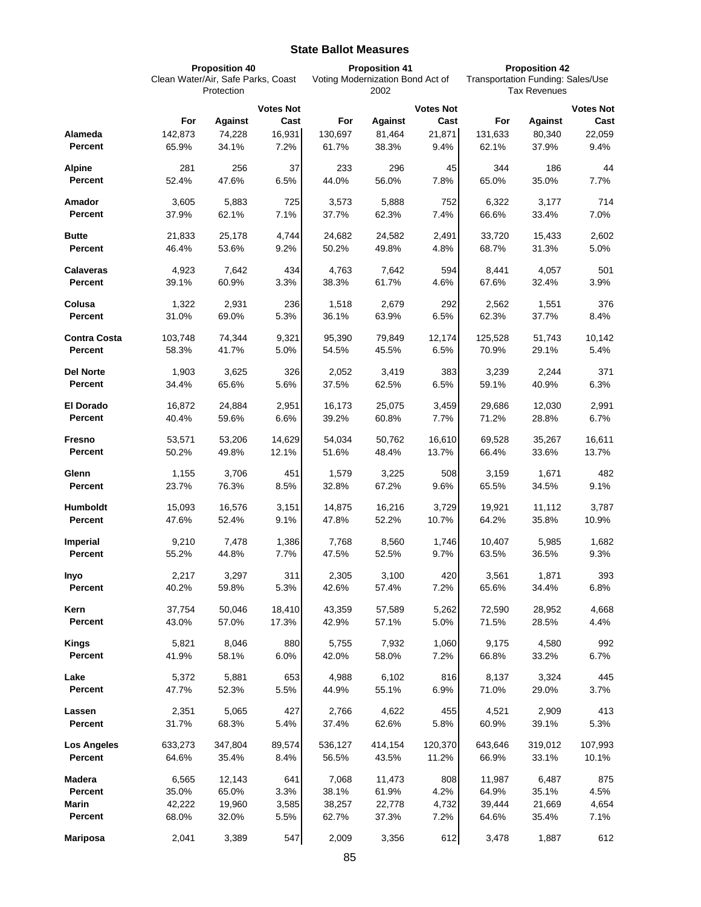## **State Ballot Measures**

|                        | <b>Proposition 40</b><br>Clean Water/Air, Safe Parks, Coast |                 |                  | <b>Proposition 41</b><br>Voting Modernization Bond Act of<br>2002 |                |                  | <b>Proposition 42</b><br>Transportation Funding: Sales/Use |                |                  |
|------------------------|-------------------------------------------------------------|-----------------|------------------|-------------------------------------------------------------------|----------------|------------------|------------------------------------------------------------|----------------|------------------|
|                        |                                                             |                 |                  |                                                                   |                |                  |                                                            |                |                  |
|                        | Protection                                                  |                 |                  |                                                                   |                |                  | <b>Tax Revenues</b>                                        |                |                  |
|                        |                                                             |                 | <b>Votes Not</b> |                                                                   |                | <b>Votes Not</b> |                                                            |                | <b>Votes Not</b> |
|                        | For                                                         | <b>Against</b>  | Cast             | For                                                               | <b>Against</b> | Cast             | For                                                        | <b>Against</b> | Cast             |
| Alameda                | 142,873                                                     | 74,228          | 16,931           | 130,697                                                           | 81,464         | 21,871           | 131,633                                                    | 80,340         | 22,059           |
| <b>Percent</b>         | 65.9%                                                       | 34.1%           | 7.2%             | 61.7%                                                             | 38.3%          | 9.4%             | 62.1%                                                      | 37.9%          | 9.4%             |
| <b>Alpine</b>          | 281                                                         | 256             | 37               | 233                                                               | 296            | 45               | 344                                                        | 186            | 44               |
| Percent                | 52.4%                                                       | 47.6%           | 6.5%             | 44.0%                                                             | 56.0%          | 7.8%             | 65.0%                                                      | 35.0%          | 7.7%             |
|                        |                                                             |                 |                  |                                                                   |                |                  |                                                            |                |                  |
| Amador                 | 3,605                                                       | 5,883           | 725              | 3,573                                                             | 5,888          | 752              | 6,322                                                      | 3,177          | 714              |
| Percent                | 37.9%                                                       | 62.1%           | 7.1%             | 37.7%                                                             | 62.3%          | 7.4%             | 66.6%                                                      | 33.4%          | 7.0%             |
| <b>Butte</b>           | 21,833                                                      | 25,178          | 4,744            | 24,682                                                            | 24,582         | 2,491            | 33,720                                                     | 15,433         | 2,602            |
| Percent                | 46.4%                                                       | 53.6%           | 9.2%             | 50.2%                                                             | 49.8%          | 4.8%             | 68.7%                                                      | 31.3%          | 5.0%             |
| <b>Calaveras</b>       | 4,923                                                       | 7,642           | 434              | 4,763                                                             | 7,642          | 594              | 8,441                                                      | 4,057          | 501              |
| Percent                | 39.1%                                                       | 60.9%           | 3.3%             | 38.3%                                                             | 61.7%          | 4.6%             | 67.6%                                                      | 32.4%          | 3.9%             |
|                        |                                                             |                 |                  |                                                                   |                |                  |                                                            |                |                  |
| Colusa                 | 1,322                                                       | 2,931           | 236              | 1,518                                                             | 2,679          | 292              | 2,562                                                      | 1,551          | 376              |
| <b>Percent</b>         | 31.0%                                                       | 69.0%           | 5.3%             | 36.1%                                                             | 63.9%          | 6.5%             | 62.3%                                                      | 37.7%          | 8.4%             |
| <b>Contra Costa</b>    | 103,748                                                     | 74,344          | 9,321            | 95,390                                                            | 79,849         | 12,174           | 125.528                                                    | 51,743         | 10,142           |
| <b>Percent</b>         | 58.3%                                                       | 41.7%           | 5.0%             | 54.5%                                                             | 45.5%          | 6.5%             | 70.9%                                                      | 29.1%          | 5.4%             |
|                        |                                                             |                 |                  |                                                                   |                |                  |                                                            |                |                  |
| <b>Del Norte</b>       | 1,903                                                       | 3,625           | 326              | 2,052                                                             | 3,419          | 383              | 3,239                                                      | 2,244          | 371              |
| <b>Percent</b>         | 34.4%                                                       | 65.6%           | 5.6%             | 37.5%                                                             | 62.5%          | 6.5%             | 59.1%                                                      | 40.9%          | 6.3%             |
| El Dorado              | 16,872                                                      | 24,884          | 2,951            | 16,173                                                            | 25,075         | 3,459            | 29,686                                                     | 12,030         | 2,991            |
| Percent                | 40.4%                                                       | 59.6%           | 6.6%             | 39.2%                                                             | 60.8%          | 7.7%             | 71.2%                                                      | 28.8%          | 6.7%             |
|                        |                                                             |                 |                  |                                                                   |                |                  |                                                            |                |                  |
| Fresno                 | 53,571                                                      | 53,206          | 14,629           | 54,034                                                            | 50,762         | 16,610           | 69,528                                                     | 35,267         | 16,611           |
| Percent                | 50.2%                                                       | 49.8%           | 12.1%            | 51.6%                                                             | 48.4%          | 13.7%            | 66.4%                                                      | 33.6%          | 13.7%            |
| Glenn                  | 1,155                                                       | 3,706           | 451              | 1,579                                                             | 3,225          | 508              | 3,159                                                      | 1,671          | 482              |
| Percent                | 23.7%                                                       | 76.3%           | 8.5%             | 32.8%                                                             | 67.2%          | 9.6%             | 65.5%                                                      | 34.5%          | 9.1%             |
| <b>Humboldt</b>        | 15,093                                                      |                 | 3,151            |                                                                   | 16,216         | 3,729            |                                                            | 11,112         | 3,787            |
| <b>Percent</b>         | 47.6%                                                       | 16,576<br>52.4% | 9.1%             | 14,875<br>47.8%                                                   | 52.2%          | 10.7%            | 19,921<br>64.2%                                            | 35.8%          | 10.9%            |
|                        |                                                             |                 |                  |                                                                   |                |                  |                                                            |                |                  |
| Imperial               | 9,210                                                       | 7,478           | 1,386            | 7,768                                                             | 8,560          | 1,746            | 10,407                                                     | 5,985          | 1,682            |
| <b>Percent</b>         | 55.2%                                                       | 44.8%           | 7.7%             | 47.5%                                                             | 52.5%          | 9.7%             | 63.5%                                                      | 36.5%          | 9.3%             |
| Inyo                   | 2,217                                                       | 3,297           | 311              | 2,305                                                             | 3,100          | 420              | 3,561                                                      | 1,871          | 393              |
| Percent                | 40.2%                                                       | 59.8%           | 5.3%             | 42.6%                                                             | 57.4%          | 7.2%             | 65.6%                                                      | 34.4%          | 6.8%             |
|                        |                                                             |                 |                  |                                                                   |                |                  |                                                            |                |                  |
| Kern                   | 37,754                                                      | 50,046          | 18,410           | 43,359                                                            | 57,589         | 5,262            | 72,590                                                     | 28,952         | 4,668            |
| <b>Percent</b>         | 43.0%                                                       | 57.0%           | 17.3%            | 42.9%                                                             | 57.1%          | 5.0%             | 71.5%                                                      | 28.5%          | 4.4%             |
| Kings                  | 5,821                                                       | 8,046           | 880              | 5,755                                                             | 7,932          | 1,060            | 9,175                                                      | 4,580          | 992              |
| <b>Percent</b>         | 41.9%                                                       | 58.1%           | 6.0%             | 42.0%                                                             | 58.0%          | 7.2%             | 66.8%                                                      | 33.2%          | 6.7%             |
|                        |                                                             |                 |                  |                                                                   |                |                  |                                                            |                |                  |
| Lake<br><b>Percent</b> | 5,372<br>47.7%                                              | 5,881<br>52.3%  | 653<br>5.5%      | 4,988<br>44.9%                                                    | 6,102<br>55.1% | 816<br>6.9%      | 8,137<br>71.0%                                             | 3,324<br>29.0% | 445<br>3.7%      |
|                        |                                                             |                 |                  |                                                                   |                |                  |                                                            |                |                  |
| Lassen                 | 2,351                                                       | 5,065           | 427              | 2,766                                                             | 4,622          | 455              | 4,521                                                      | 2,909          | 413              |
| <b>Percent</b>         | 31.7%                                                       | 68.3%           | 5.4%             | 37.4%                                                             | 62.6%          | 5.8%             | 60.9%                                                      | 39.1%          | 5.3%             |
| <b>Los Angeles</b>     | 633,273                                                     | 347,804         | 89,574           | 536,127                                                           | 414,154        | 120,370          | 643,646                                                    | 319,012        | 107,993          |
| <b>Percent</b>         | 64.6%                                                       | 35.4%           | 8.4%             | 56.5%                                                             | 43.5%          | 11.2%            | 66.9%                                                      | 33.1%          | 10.1%            |
|                        |                                                             |                 |                  |                                                                   |                |                  |                                                            |                |                  |
| <b>Madera</b>          | 6,565                                                       | 12,143          | 641              | 7,068                                                             | 11,473         | 808              | 11,987                                                     | 6,487          | 875              |
| <b>Percent</b>         | 35.0%                                                       | 65.0%           | 3.3%             | 38.1%                                                             | 61.9%          | 4.2%             | 64.9%                                                      | 35.1%          | 4.5%             |
| <b>Marin</b>           | 42,222                                                      | 19,960          | 3,585            | 38,257                                                            | 22,778         | 4,732            | 39,444                                                     | 21,669         | 4,654            |
| <b>Percent</b>         | 68.0%                                                       | 32.0%           | 5.5%             | 62.7%                                                             | 37.3%          | 7.2%             | 64.6%                                                      | 35.4%          | 7.1%             |
| <b>Mariposa</b>        | 2,041                                                       | 3,389           | 547              | 2,009                                                             | 3,356          | 612              | 3,478                                                      | 1,887          | 612              |
|                        |                                                             |                 |                  |                                                                   |                |                  |                                                            |                |                  |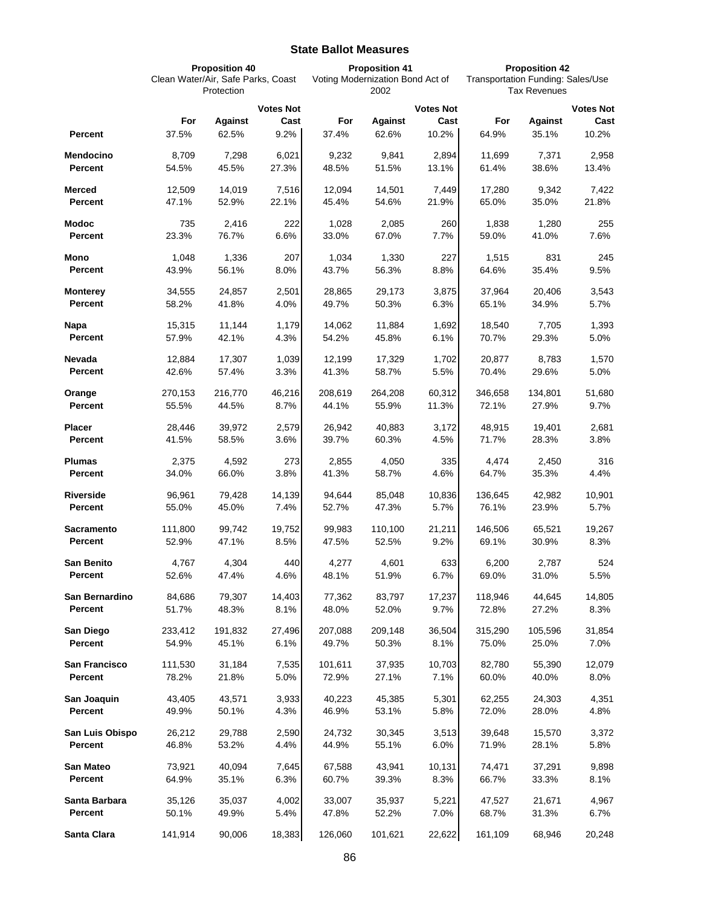## **State Ballot Measures**

|                                   | <b>Proposition 40</b><br>Clean Water/Air, Safe Parks, Coast<br>Protection |                 |                  | <b>Proposition 41</b><br>Voting Modernization Bond Act of<br>2002 |                 |                  | <b>Proposition 42</b><br>Transportation Funding: Sales/Use<br><b>Tax Revenues</b> |                 |                  |
|-----------------------------------|---------------------------------------------------------------------------|-----------------|------------------|-------------------------------------------------------------------|-----------------|------------------|-----------------------------------------------------------------------------------|-----------------|------------------|
|                                   |                                                                           |                 |                  |                                                                   |                 |                  |                                                                                   |                 |                  |
|                                   |                                                                           |                 | <b>Votes Not</b> |                                                                   |                 | <b>Votes Not</b> |                                                                                   |                 | <b>Votes Not</b> |
|                                   | For                                                                       | <b>Against</b>  | Cast             | For                                                               | <b>Against</b>  | Cast             | For                                                                               | <b>Against</b>  | Cast             |
| <b>Percent</b>                    | 37.5%                                                                     | 62.5%           | 9.2%             | 37.4%                                                             | 62.6%           | 10.2%            | 64.9%                                                                             | 35.1%           | 10.2%            |
| Mendocino                         | 8,709                                                                     | 7,298           | 6,021            | 9,232                                                             | 9,841           | 2,894            | 11,699                                                                            | 7,371           | 2,958            |
| <b>Percent</b>                    | 54.5%                                                                     | 45.5%           | 27.3%            | 48.5%                                                             | 51.5%           | 13.1%            | 61.4%                                                                             | 38.6%           | 13.4%            |
| <b>Merced</b>                     | 12,509                                                                    | 14,019          | 7,516            | 12,094                                                            | 14,501          | 7,449            | 17,280                                                                            | 9,342           | 7,422            |
| <b>Percent</b>                    | 47.1%                                                                     | 52.9%           | 22.1%            | 45.4%                                                             | 54.6%           | 21.9%            | 65.0%                                                                             | 35.0%           | 21.8%            |
| <b>Modoc</b>                      | 735                                                                       | 2,416           | 222              | 1,028                                                             | 2,085           | 260              | 1,838                                                                             | 1,280           | 255              |
| <b>Percent</b>                    | 23.3%                                                                     | 76.7%           | 6.6%             | 33.0%                                                             | 67.0%           | 7.7%             | 59.0%                                                                             | 41.0%           | 7.6%             |
| Mono                              | 1,048                                                                     | 1,336           | 207              | 1,034                                                             | 1,330           | 227              | 1,515                                                                             | 831             | 245              |
| <b>Percent</b>                    | 43.9%                                                                     | 56.1%           | 8.0%             | 43.7%                                                             | 56.3%           | 8.8%             | 64.6%                                                                             | 35.4%           | 9.5%             |
|                                   | 34,555                                                                    | 24,857          | 2,501            |                                                                   |                 | 3,875            |                                                                                   | 20,406          |                  |
| <b>Monterey</b><br><b>Percent</b> | 58.2%                                                                     | 41.8%           | 4.0%             | 28,865<br>49.7%                                                   | 29,173<br>50.3% | 6.3%             | 37,964<br>65.1%                                                                   | 34.9%           | 3,543<br>5.7%    |
|                                   |                                                                           |                 |                  |                                                                   |                 |                  |                                                                                   |                 |                  |
| Napa<br><b>Percent</b>            | 15,315<br>57.9%                                                           | 11,144<br>42.1% | 1,179<br>4.3%    | 14,062<br>54.2%                                                   | 11,884<br>45.8% | 1,692<br>6.1%    | 18,540<br>70.7%                                                                   | 7,705<br>29.3%  | 1,393<br>5.0%    |
|                                   |                                                                           |                 |                  |                                                                   |                 |                  |                                                                                   |                 |                  |
| Nevada                            | 12,884                                                                    | 17,307          | 1,039            | 12,199                                                            | 17,329          | 1,702            | 20,877                                                                            | 8,783           | 1,570            |
| <b>Percent</b>                    | 42.6%                                                                     | 57.4%           | 3.3%             | 41.3%                                                             | 58.7%           | 5.5%             | 70.4%                                                                             | 29.6%           | 5.0%             |
| Orange                            | 270,153                                                                   | 216,770         | 46,216           | 208,619                                                           | 264,208         | 60,312           | 346,658                                                                           | 134,801         | 51,680           |
| Percent                           | 55.5%                                                                     | 44.5%           | 8.7%             | 44.1%                                                             | 55.9%           | 11.3%            | 72.1%                                                                             | 27.9%           | 9.7%             |
| Placer                            | 28,446                                                                    | 39,972          | 2,579            | 26,942                                                            | 40,883          | 3,172            | 48,915                                                                            | 19,401          | 2,681            |
| Percent                           | 41.5%                                                                     | 58.5%           | 3.6%             | 39.7%                                                             | 60.3%           | 4.5%             | 71.7%                                                                             | 28.3%           | 3.8%             |
| <b>Plumas</b>                     | 2,375                                                                     | 4,592           | 273              | 2,855                                                             | 4,050           | 335              | 4,474                                                                             | 2,450           | 316              |
| Percent                           | 34.0%                                                                     | 66.0%           | 3.8%             | 41.3%                                                             | 58.7%           | 4.6%             | 64.7%                                                                             | 35.3%           | 4.4%             |
| <b>Riverside</b>                  | 96,961                                                                    | 79,428          | 14,139           | 94,644                                                            | 85,048          | 10,836           | 136,645                                                                           | 42,982          | 10,901           |
| <b>Percent</b>                    | 55.0%                                                                     | 45.0%           | 7.4%             | 52.7%                                                             | 47.3%           | 5.7%             | 76.1%                                                                             | 23.9%           | 5.7%             |
| <b>Sacramento</b>                 | 111,800                                                                   | 99,742          | 19,752           | 99,983                                                            | 110,100         | 21,211           | 146,506                                                                           | 65,521          | 19,267           |
| Percent                           | 52.9%                                                                     | 47.1%           | 8.5%             | 47.5%                                                             | 52.5%           | 9.2%             | 69.1%                                                                             | 30.9%           | 8.3%             |
|                                   |                                                                           |                 |                  |                                                                   |                 |                  |                                                                                   |                 |                  |
| <b>San Benito</b><br>Percent      | 4,767<br>52.6%                                                            | 4,304<br>47.4%  | 440<br>4.6%      | 4,277<br>48.1%                                                    | 4,601<br>51.9%  | 633<br>6.7%      | 6,200<br>69.0%                                                                    | 2,787<br>31.0%  | 524<br>5.5%      |
|                                   |                                                                           |                 |                  |                                                                   |                 |                  |                                                                                   |                 |                  |
| San Bernardino<br><b>Percent</b>  | 84,686<br>51.7%                                                           | 79,307<br>48.3% | 14,403<br>8.1%   | 77,362<br>48.0%                                                   | 83,797<br>52.0% | 17,237<br>9.7%   | 118,946<br>72.8%                                                                  | 44,645<br>27.2% | 14,805<br>8.3%   |
|                                   |                                                                           |                 |                  |                                                                   |                 |                  |                                                                                   |                 |                  |
| San Diego                         | 233,412                                                                   | 191,832         | 27,496           | 207,088                                                           | 209,148         | 36,504           | 315,290                                                                           | 105,596         | 31,854           |
| Percent                           | 54.9%                                                                     | 45.1%           | 6.1%             | 49.7%                                                             | 50.3%           | 8.1%             | 75.0%                                                                             | 25.0%           | 7.0%             |
| San Francisco                     | 111,530                                                                   | 31,184          | 7,535            | 101,611                                                           | 37,935          | 10,703           | 82.780                                                                            | 55,390          | 12,079           |
| Percent                           | 78.2%                                                                     | 21.8%           | 5.0%             | 72.9%                                                             | 27.1%           | 7.1%             | 60.0%                                                                             | 40.0%           | 8.0%             |
| San Joaquin                       | 43,405                                                                    | 43,571          | 3,933            | 40,223                                                            | 45,385          | 5,301            | 62,255                                                                            | 24,303          | 4,351            |
| Percent                           | 49.9%                                                                     | 50.1%           | 4.3%             | 46.9%                                                             | 53.1%           | 5.8%             | 72.0%                                                                             | 28.0%           | 4.8%             |
| San Luis Obispo                   | 26,212                                                                    | 29,788          | 2,590            | 24,732                                                            | 30,345          | 3,513            | 39,648                                                                            | 15,570          | 3,372            |
| Percent                           | 46.8%                                                                     | 53.2%           | 4.4%             | 44.9%                                                             | 55.1%           | 6.0%             | 71.9%                                                                             | 28.1%           | 5.8%             |
| San Mateo                         | 73,921                                                                    | 40,094          | 7,645            | 67,588                                                            | 43,941          | 10,131           | 74,471                                                                            | 37,291          | 9,898            |
| Percent                           | 64.9%                                                                     | 35.1%           | 6.3%             | 60.7%                                                             | 39.3%           | 8.3%             | 66.7%                                                                             | 33.3%           | 8.1%             |
| Santa Barbara                     | 35,126                                                                    | 35,037          | 4,002            | 33,007                                                            | 35,937          | 5,221            | 47,527                                                                            | 21,671          | 4,967            |
| Percent                           | 50.1%                                                                     | 49.9%           | 5.4%             | 47.8%                                                             | 52.2%           | 7.0%             | 68.7%                                                                             | 31.3%           | $6.7\%$          |
|                                   |                                                                           |                 |                  |                                                                   |                 |                  |                                                                                   |                 |                  |
| Santa Clara                       | 141,914                                                                   | 90,006          | 18,383           | 126,060                                                           | 101,621         | 22,622           | 161,109                                                                           | 68,946          | 20,248           |